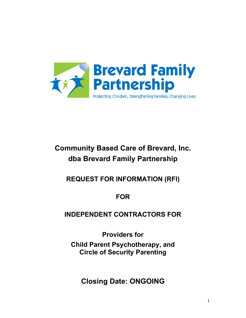

# **Community Based Care of Brevard, Inc. dba Brevard Family Partnership**

**REQUEST FOR INFORMATION (RFI)**

**FOR**

**INDEPENDENT CONTRACTORS FOR** 

**Providers for**

**Child Parent Psychotherapy, and Circle of Security Parenting**

**Closing Date: ONGOING**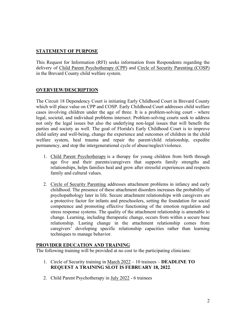### **STATEMENT OF PURPOSE**

This Request for Information (RFI) seeks information from Respondents regarding the delivery of Child Parent Psychotherapy (CPP) and Circle of Security Parenting (COSP) in the Brevard County child welfare system.

#### **OVERVIEW/DESCRIPTION**

The Circuit 18 Dependency Court is initiating Early Childhood Court in Brevard County which will place value on CPP and COSP. Early Childhood Court addresses child welfare cases involving children under the age of three. It is a problem-solving court - where legal, societal, and individual problems intersect. Problem-solving courts seek to address not only the legal issues but also the underlying non-legal issues that will benefit the parties and society as well. The goal of Florida's Early Childhood Court is to improve child safety and well-being, change the experience and outcomes of children in the child welfare system, heal trauma and repair the parent/child relationship, expedite permanency, and stop the intergenerational cycle of abuse/neglect/violence.

- 1. Child Parent Psychotherapy is a therapy for young children from birth through age five and their parents/caregivers that supports family strengths and relationships, helps families heal and grow after stressful experiences and respects family and cultural values.
- 2. Circle of Security Parenting addresses attachment problems in infancy and early childhood. The presence of these attachment disorders increases the probability of psychopathology later in life. Secure attachment relationships with caregivers are a protective factor for infants and preschoolers, setting the foundation for social competence and promoting effective functioning of the emotion regulation and stress response systems. The quality of the attachment relationship is amenable to change. Learning, including therapeutic change, occurs from within a secure base relationship. Lasting change in the attachment relationship comes from caregivers' developing specific relationship capacities rather than learning techniques to manage behavior.

#### **PROVIDER EDUCATION AND TRAINING**

The following training will be provided at no cost to the participating clinicians:

- 1. Circle of Security training in March 2022 10 trainees **DEADLINE TO REQUEST A TRAINING SLOT IS FEBRUARY 18, 2022**.
- 2. Child Parent Psychotherapy in July 2022 6 trainees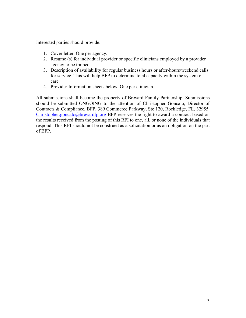Interested parties should provide:

- 1. Cover letter. One per agency.
- 2. Resume (s) for individual provider or specific clinicians employed by a provider agency to be trained.
- 3. Description of availability for regular business hours or after-hours/weekend calls for service. This will help BFP to determine total capacity within the system of care.
- 4. Provider Information sheets below. One per clinician.

All submissions shall become the property of Brevard Family Partnership. Submissions should be submitted ONGOING to the attention of Christopher Goncalo, Director of Contracts & Compliance, BFP, 389 Commerce Parkway, Ste 120, Rockledge, FL, 32955. [Christopher.goncalo@brevardfp.org](mailto:Christopher.goncalo@brevardfp.org) BFP reserves the right to award a contract based on the results received from the posting of this RFI to one, all, or none of the individuals that respond. This RFI should not be construed as a solicitation or as an obligation on the part of BFP.